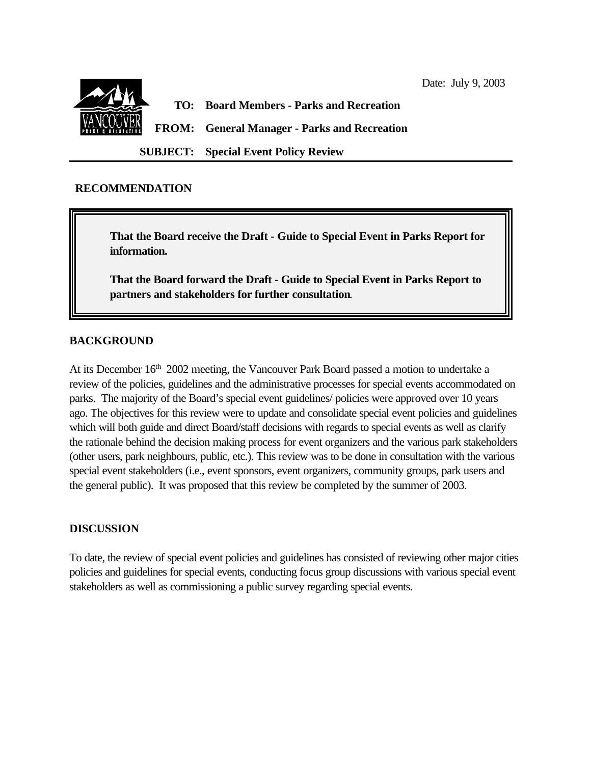

# **RECOMMENDATION**

**That the Board receive the Draft - Guide to Special Event in Parks Report for information.**

**That the Board forward the Draft - Guide to Special Event in Parks Report to partners and stakeholders for further consultation**.

#### **BACKGROUND**

At its December 16<sup>th</sup> 2002 meeting, the Vancouver Park Board passed a motion to undertake a review of the policies, guidelines and the administrative processes for special events accommodated on parks. The majority of the Board's special event guidelines/ policies were approved over 10 years ago. The objectives for this review were to update and consolidate special event policies and guidelines which will both guide and direct Board/staff decisions with regards to special events as well as clarify the rationale behind the decision making process for event organizers and the various park stakeholders (other users, park neighbours, public, etc.). This review was to be done in consultation with the various special event stakeholders (i.e., event sponsors, event organizers, community groups, park users and the general public). It was proposed that this review be completed by the summer of 2003.

#### **DISCUSSION**

To date, the review of special event policies and guidelines has consisted of reviewing other major cities policies and guidelines for special events, conducting focus group discussions with various special event stakeholders as well as commissioning a public survey regarding special events.

Date: July 9, 2003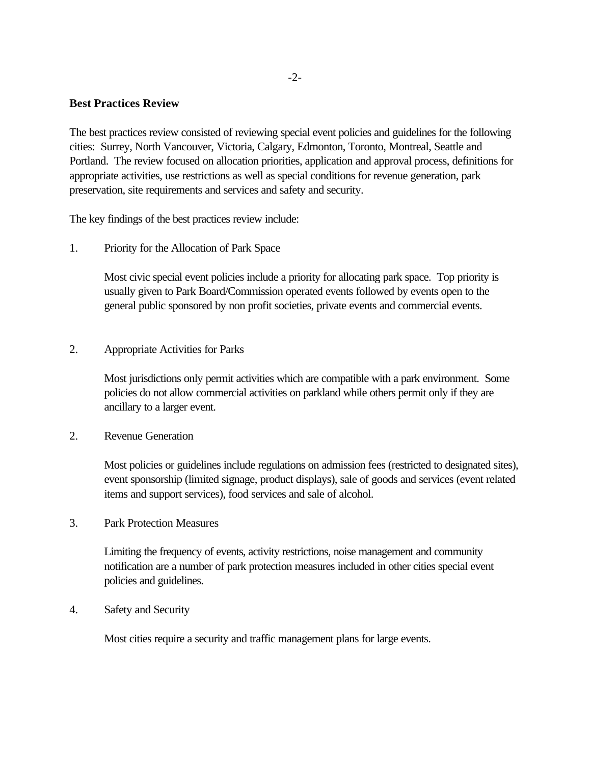### **Best Practices Review**

The best practices review consisted of reviewing special event policies and guidelines for the following cities: Surrey, North Vancouver, Victoria, Calgary, Edmonton, Toronto, Montreal, Seattle and Portland. The review focused on allocation priorities, application and approval process, definitions for appropriate activities, use restrictions as well as special conditions for revenue generation, park preservation, site requirements and services and safety and security.

The key findings of the best practices review include:

1. Priority for the Allocation of Park Space

Most civic special event policies include a priority for allocating park space. Top priority is usually given to Park Board/Commission operated events followed by events open to the general public sponsored by non profit societies, private events and commercial events.

2. Appropriate Activities for Parks

Most jurisdictions only permit activities which are compatible with a park environment. Some policies do not allow commercial activities on parkland while others permit only if they are ancillary to a larger event.

2. Revenue Generation

Most policies or guidelines include regulations on admission fees (restricted to designated sites), event sponsorship (limited signage, product displays), sale of goods and services (event related items and support services), food services and sale of alcohol.

3. Park Protection Measures

Limiting the frequency of events, activity restrictions, noise management and community notification are a number of park protection measures included in other cities special event policies and guidelines.

4. Safety and Security

Most cities require a security and traffic management plans for large events.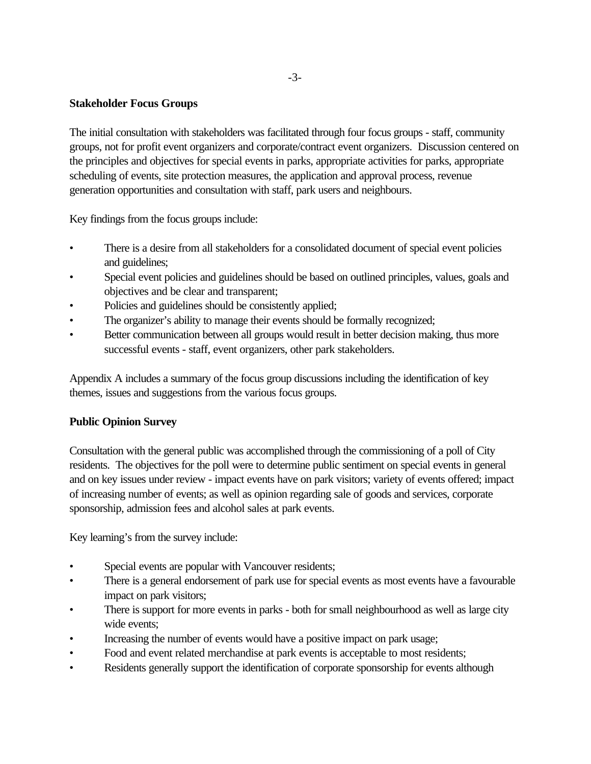# **Stakeholder Focus Groups**

The initial consultation with stakeholders was facilitated through four focus groups - staff, community groups, not for profit event organizers and corporate/contract event organizers. Discussion centered on the principles and objectives for special events in parks, appropriate activities for parks, appropriate scheduling of events, site protection measures, the application and approval process, revenue generation opportunities and consultation with staff, park users and neighbours.

Key findings from the focus groups include:

- There is a desire from all stakeholders for a consolidated document of special event policies and guidelines;
- Special event policies and guidelines should be based on outlined principles, values, goals and objectives and be clear and transparent;
- Policies and guidelines should be consistently applied;
- The organizer's ability to manage their events should be formally recognized;
- Better communication between all groups would result in better decision making, thus more successful events - staff, event organizers, other park stakeholders.

Appendix A includes a summary of the focus group discussions including the identification of key themes, issues and suggestions from the various focus groups.

# **Public Opinion Survey**

Consultation with the general public was accomplished through the commissioning of a poll of City residents. The objectives for the poll were to determine public sentiment on special events in general and on key issues under review - impact events have on park visitors; variety of events offered; impact of increasing number of events; as well as opinion regarding sale of goods and services, corporate sponsorship, admission fees and alcohol sales at park events.

Key learning's from the survey include:

- Special events are popular with Vancouver residents;
- There is a general endorsement of park use for special events as most events have a favourable impact on park visitors;
- There is support for more events in parks both for small neighbourhood as well as large city wide events;
- Increasing the number of events would have a positive impact on park usage;
- Food and event related merchandise at park events is acceptable to most residents;
- Residents generally support the identification of corporate sponsorship for events although